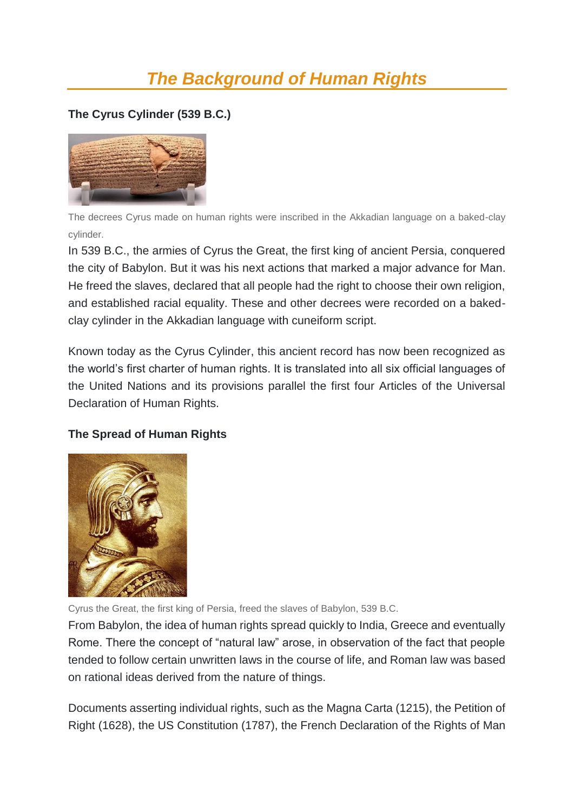## *The Background of Human Rights*

## **The Cyrus Cylinder (539 B.C.)**



The decrees Cyrus made on human rights were inscribed in the Akkadian language on a baked-clay cylinder.

In 539 B.C., the armies of Cyrus the Great, the first king of ancient Persia, conquered the city of Babylon. But it was his next actions that marked a major advance for Man. He freed the slaves, declared that all people had the right to choose their own religion, and established racial equality. These and other decrees were recorded on a bakedclay cylinder in the Akkadian language with cuneiform script.

Known today as the Cyrus Cylinder, this ancient record has now been recognized as the world's first charter of human rights. It is translated into all six official languages of the United Nations and its provisions parallel the first four Articles of the Universal Declaration of Human Rights.

## **The Spread of Human Rights**



Cyrus the Great, the first king of Persia, freed the slaves of Babylon, 539 B.C.

From Babylon, the idea of human rights spread quickly to India, Greece and eventually Rome. There the concept of "natural law" arose, in observation of the fact that people tended to follow certain unwritten laws in the course of life, and Roman law was based on rational ideas derived from the nature of things.

Documents asserting individual rights, such as the Magna Carta (1215), the Petition of Right (1628), the US Constitution (1787), the French Declaration of the Rights of Man